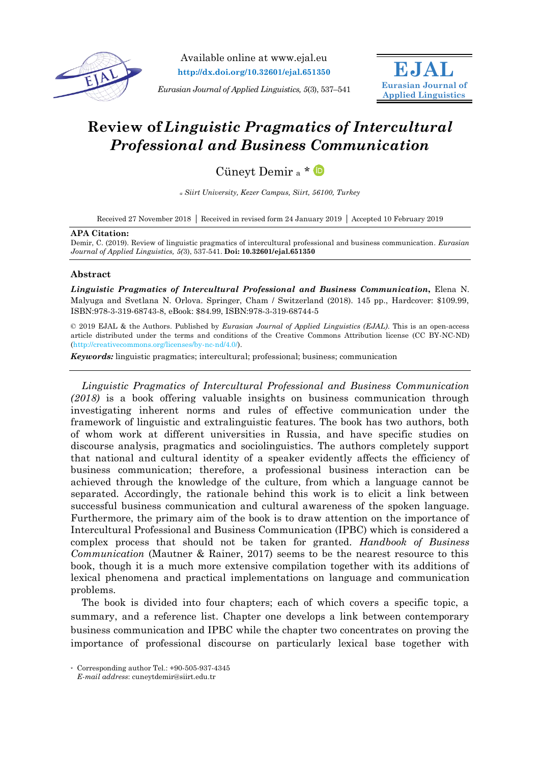

Available online at www.ejal.eu **http://dx.doi.org/10.32601/ejal.651350**

*Eurasian Journal of Applied Linguistics, 5*(3), 537–541



# **Review of** *Linguistic Pragmatics of Intercultural Professional and Business Communication*

Cüneyt Demir <sup>a</sup> \*

*<sup>a</sup> Siirt University, Kezer Campus, Siirt, 56100, Turkey*

Received 27 November 2018 Received in revised form 24 January 2019 Accepted 10 February 2019

#### **APA Citation:**

Demir, C. (2019). Review of linguistic pragmatics of intercultural professional and business communication. *Eurasian Journal of Applied Linguistics, 5(*3), 537-541. **Doi: 10.32601/ejal.651350**

### **Abstract**

*Linguistic Pragmatics of Intercultural Professional and Business Communication***,** Elena N. Malyuga and Svetlana N. Orlova. Springer, Cham / Switzerland (2018). 145 pp., Hardcover: \$109.99, ISBN:978-3-319-68743-8, eBook: \$84.99, ISBN:978-3-319-68744-5

© 2019 EJAL & the Authors. Published by *Eurasian Journal of Applied Linguistics (EJAL)*. This is an open-access article distributed under the terms and conditions of the Creative Commons Attribution license (CC BY-NC-ND) (http://creativecommons.org/licenses/by-nc-nd/4.0/).

*Keywords:* linguistic pragmatics; intercultural; professional; business; communication

 *Linguistic Pragmatics of Intercultural Professional and Business Communication (2018)* is a book offering valuable insights on business communication through investigating inherent norms and rules of effective communication under the framework of linguistic and extralinguistic features. The book has two authors, both of whom work at different universities in Russia, and have specific studies on discourse analysis, pragmatics and sociolinguistics. The authors completely support that national and cultural identity of a speaker evidently affects the efficiency of business communication; therefore, a professional business interaction can be achieved through the knowledge of the culture, from which a language cannot be separated. Accordingly, the rationale behind this work is to elicit a link between successful business communication and cultural awareness of the spoken language. Furthermore, the primary aim of the book is to draw attention on the importance of Intercultural Professional and Business Communication (IPBC) which is considered a complex process that should not be taken for granted. *Handbook of Business Communication* (Mautner & Rainer, 2017) seems to be the nearest resource to this book, though it is a much more extensive compilation together with its additions of lexical phenomena and practical implementations on language and communication problems.

The book is divided into four chapters; each of which covers a specific topic, a summary, and a reference list. Chapter one develops a link between contemporary business communication and IPBC while the chapter two concentrates on proving the importance of professional discourse on particularly lexical base together with

<sup>\*</sup> Corresponding author Tel.: +90-505-937-4345 *E-mail address*: cuneytdemir@siirt.edu.tr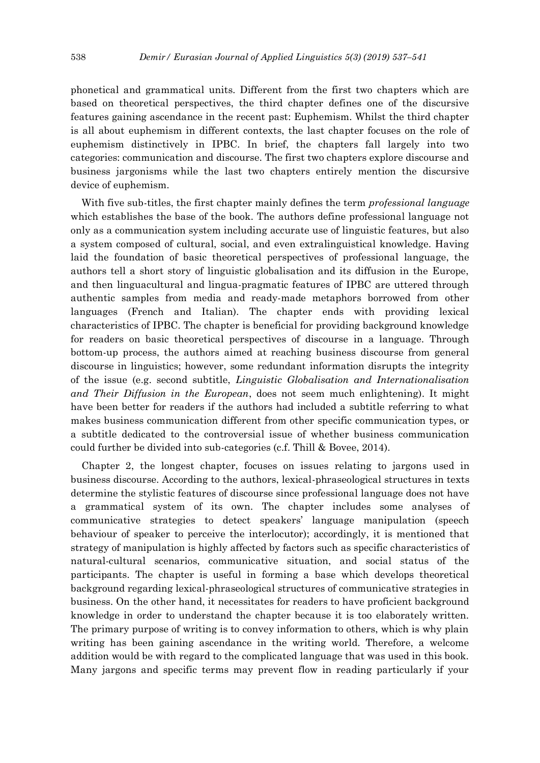phonetical and grammatical units. Different from the first two chapters which are based on theoretical perspectives, the third chapter defines one of the discursive features gaining ascendance in the recent past: Euphemism. Whilst the third chapter is all about euphemism in different contexts, the last chapter focuses on the role of euphemism distinctively in IPBC. In brief, the chapters fall largely into two categories: communication and discourse. The first two chapters explore discourse and business jargonisms while the last two chapters entirely mention the discursive device of euphemism.

With five sub-titles, the first chapter mainly defines the term *professional language* which establishes the base of the book. The authors define professional language not only as a communication system including accurate use of linguistic features, but also a system composed of cultural, social, and even extralinguistical knowledge. Having laid the foundation of basic theoretical perspectives of professional language, the authors tell a short story of linguistic globalisation and its diffusion in the Europe, and then linguacultural and lingua-pragmatic features of IPBC are uttered through authentic samples from media and ready-made metaphors borrowed from other languages (French and Italian). The chapter ends with providing lexical characteristics of IPBC. The chapter is beneficial for providing background knowledge for readers on basic theoretical perspectives of discourse in a language. Through bottom-up process, the authors aimed at reaching business discourse from general discourse in linguistics; however, some redundant information disrupts the integrity of the issue (e.g. second subtitle, *Linguistic Globalisation and Internationalisation and Their Diffusion in the European*, does not seem much enlightening). It might have been better for readers if the authors had included a subtitle referring to what makes business communication different from other specific communication types, or a subtitle dedicated to the controversial issue of whether business communication could further be divided into sub-categories (c.f. Thill & Bovee, 2014).

Chapter 2, the longest chapter, focuses on issues relating to jargons used in business discourse. According to the authors, lexical-phraseological structures in texts determine the stylistic features of discourse since professional language does not have a grammatical system of its own. The chapter includes some analyses of communicative strategies to detect speakers' language manipulation (speech behaviour of speaker to perceive the interlocutor); accordingly, it is mentioned that strategy of manipulation is highly affected by factors such as specific characteristics of natural-cultural scenarios, communicative situation, and social status of the participants. The chapter is useful in forming a base which develops theoretical background regarding lexical-phraseological structures of communicative strategies in business. On the other hand, it necessitates for readers to have proficient background knowledge in order to understand the chapter because it is too elaborately written. The primary purpose of writing is to convey information to others, which is why plain writing has been gaining ascendance in the writing world. Therefore, a welcome addition would be with regard to the complicated language that was used in this book. Many jargons and specific terms may prevent flow in reading particularly if your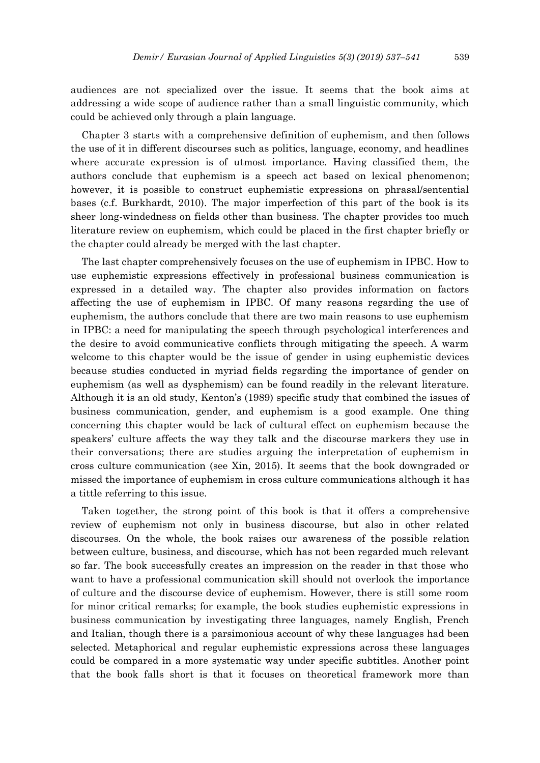audiences are not specialized over the issue. It seems that the book aims at addressing a wide scope of audience rather than a small linguistic community, which could be achieved only through a plain language.

Chapter 3 starts with a comprehensive definition of euphemism, and then follows the use of it in different discourses such as politics, language, economy, and headlines where accurate expression is of utmost importance. Having classified them, the authors conclude that euphemism is a speech act based on lexical phenomenon; however, it is possible to construct euphemistic expressions on phrasal/sentential bases (c.f. Burkhardt, 2010). The major imperfection of this part of the book is its sheer long-windedness on fields other than business. The chapter provides too much literature review on euphemism, which could be placed in the first chapter briefly or the chapter could already be merged with the last chapter.

The last chapter comprehensively focuses on the use of euphemism in IPBC. How to use euphemistic expressions effectively in professional business communication is expressed in a detailed way. The chapter also provides information on factors affecting the use of euphemism in IPBC. Of many reasons regarding the use of euphemism, the authors conclude that there are two main reasons to use euphemism in IPBC: a need for manipulating the speech through psychological interferences and the desire to avoid communicative conflicts through mitigating the speech. A warm welcome to this chapter would be the issue of gender in using euphemistic devices because studies conducted in myriad fields regarding the importance of gender on euphemism (as well as dysphemism) can be found readily in the relevant literature. Although it is an old study, Kenton's (1989) specific study that combined the issues of business communication, gender, and euphemism is a good example. One thing concerning this chapter would be lack of cultural effect on euphemism because the speakers' culture affects the way they talk and the discourse markers they use in their conversations; there are studies arguing the interpretation of euphemism in cross culture communication (see Xin, 2015). It seems that the book downgraded or missed the importance of euphemism in cross culture communications although it has a tittle referring to this issue.

Taken together, the strong point of this book is that it offers a comprehensive review of euphemism not only in business discourse, but also in other related discourses. On the whole, the book raises our awareness of the possible relation between culture, business, and discourse, which has not been regarded much relevant so far. The book successfully creates an impression on the reader in that those who want to have a professional communication skill should not overlook the importance of culture and the discourse device of euphemism. However, there is still some room for minor critical remarks; for example, the book studies euphemistic expressions in business communication by investigating three languages, namely English, French and Italian, though there is a parsimonious account of why these languages had been selected. Metaphorical and regular euphemistic expressions across these languages could be compared in a more systematic way under specific subtitles. Another point that the book falls short is that it focuses on theoretical framework more than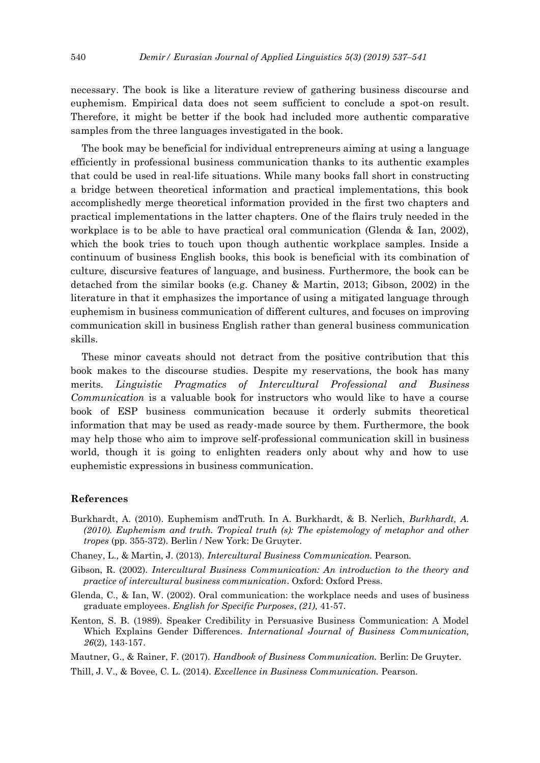necessary. The book is like a literature review of gathering business discourse and euphemism. Empirical data does not seem sufficient to conclude a spot-on result. Therefore, it might be better if the book had included more authentic comparative samples from the three languages investigated in the book.

The book may be beneficial for individual entrepreneurs aiming at using a language efficiently in professional business communication thanks to its authentic examples that could be used in real-life situations. While many books fall short in constructing a bridge between theoretical information and practical implementations, this book accomplishedly merge theoretical information provided in the first two chapters and practical implementations in the latter chapters. One of the flairs truly needed in the workplace is to be able to have practical oral communication (Glenda & Ian, 2002), which the book tries to touch upon though authentic workplace samples. Inside a continuum of business English books, this book is beneficial with its combination of culture, discursive features of language, and business. Furthermore, the book can be detached from the similar books (e.g. Chaney & Martin, 2013; Gibson, 2002) in the literature in that it emphasizes the importance of using a mitigated language through euphemism in business communication of different cultures, and focuses on improving communication skill in business English rather than general business communication skills.

These minor caveats should not detract from the positive contribution that this book makes to the discourse studies. Despite my reservations, the book has many merits. *Linguistic Pragmatics of Intercultural Professional and Business Communication* is a valuable book for instructors who would like to have a course book of ESP business communication because it orderly submits theoretical information that may be used as ready-made source by them. Furthermore, the book may help those who aim to improve self-professional communication skill in business world, though it is going to enlighten readers only about why and how to use euphemistic expressions in business communication.

### **References**

- Burkhardt, A. (2010). Euphemism andTruth. In A. Burkhardt, & B. Nerlich, *Burkhardt, A. (2010). Euphemism and truth. Tropical truth (s): The epistemology of metaphor and other tropes* (pp. 355-372). Berlin / New York: De Gruyter.
- Chaney, L., & Martin, J. (2013). *Intercultural Business Communication.* Pearson.
- Gibson, R. (2002). *Intercultural Business Communication: An introduction to the theory and practice of intercultural business communication*. Oxford: Oxford Press.
- Glenda, C., & Ian, W. (2002). Oral communication: the workplace needs and uses of business graduate employees. *English for Specific Purposes*, *(21),* 41-57.
- Kenton, S. B. (1989). Speaker Credibility in Persuasive Business Communication: A Model Which Explains Gender Differences. *International Journal of Business Communication, 26*(2), 143-157.

Mautner, G., & Rainer, F. (2017). *Handbook of Business Communication.* Berlin: De Gruyter.

Thill, J. V., & Bovee, C. L. (2014). *Excellence in Business Communication.* Pearson.